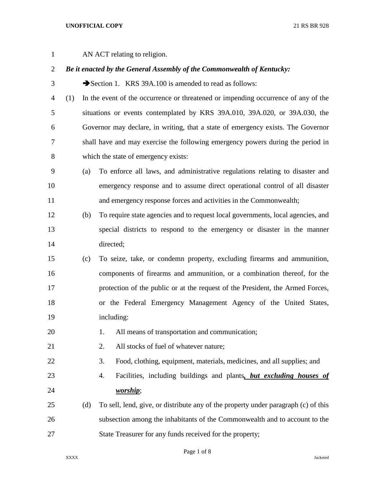AN ACT relating to religion.

# *Be it enacted by the General Assembly of the Commonwealth of Kentucky:*

- 3 Section 1. KRS 39A.100 is amended to read as follows:
- (1) In the event of the occurrence or threatened or impending occurrence of any of the situations or events contemplated by KRS 39A.010, 39A.020, or 39A.030, the Governor may declare, in writing, that a state of emergency exists. The Governor shall have and may exercise the following emergency powers during the period in which the state of emergency exists:
- (a) To enforce all laws, and administrative regulations relating to disaster and emergency response and to assume direct operational control of all disaster and emergency response forces and activities in the Commonwealth;
- (b) To require state agencies and to request local governments, local agencies, and special districts to respond to the emergency or disaster in the manner directed;
- (c) To seize, take, or condemn property, excluding firearms and ammunition, components of firearms and ammunition, or a combination thereof, for the protection of the public or at the request of the President, the Armed Forces, or the Federal Emergency Management Agency of the United States, including:
- 20 1. All means of transportation and communication;
- 21 2. All stocks of fuel of whatever nature:

3. Food, clothing, equipment, materials, medicines, and all supplies; and

- 4. Facilities, including buildings and plants*, but excluding houses of worship*;
- (d) To sell, lend, give, or distribute any of the property under paragraph (c) of this subsection among the inhabitants of the Commonwealth and to account to the State Treasurer for any funds received for the property;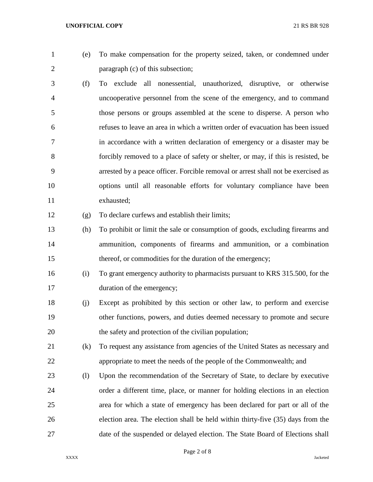- 
- (e) To make compensation for the property seized, taken, or condemned under paragraph (c) of this subsection;
- (f) To exclude all nonessential, unauthorized, disruptive, or otherwise uncooperative personnel from the scene of the emergency, and to command those persons or groups assembled at the scene to disperse. A person who refuses to leave an area in which a written order of evacuation has been issued in accordance with a written declaration of emergency or a disaster may be forcibly removed to a place of safety or shelter, or may, if this is resisted, be arrested by a peace officer. Forcible removal or arrest shall not be exercised as options until all reasonable efforts for voluntary compliance have been exhausted;

(g) To declare curfews and establish their limits;

- (h) To prohibit or limit the sale or consumption of goods, excluding firearms and ammunition, components of firearms and ammunition, or a combination 15 thereof, or commodities for the duration of the emergency;
- (i) To grant emergency authority to pharmacists pursuant to KRS 315.500, for the 17 duration of the emergency;
- (j) Except as prohibited by this section or other law, to perform and exercise other functions, powers, and duties deemed necessary to promote and secure the safety and protection of the civilian population;
- (k) To request any assistance from agencies of the United States as necessary and appropriate to meet the needs of the people of the Commonwealth; and
- (l) Upon the recommendation of the Secretary of State, to declare by executive order a different time, place, or manner for holding elections in an election area for which a state of emergency has been declared for part or all of the election area. The election shall be held within thirty-five (35) days from the date of the suspended or delayed election. The State Board of Elections shall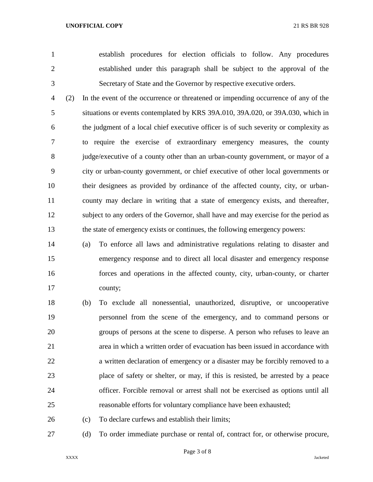establish procedures for election officials to follow. Any procedures established under this paragraph shall be subject to the approval of the Secretary of State and the Governor by respective executive orders.

 (2) In the event of the occurrence or threatened or impending occurrence of any of the situations or events contemplated by KRS 39A.010, 39A.020, or 39A.030, which in the judgment of a local chief executive officer is of such severity or complexity as to require the exercise of extraordinary emergency measures, the county judge/executive of a county other than an urban-county government, or mayor of a city or urban-county government, or chief executive of other local governments or their designees as provided by ordinance of the affected county, city, or urban- county may declare in writing that a state of emergency exists, and thereafter, subject to any orders of the Governor, shall have and may exercise for the period as the state of emergency exists or continues, the following emergency powers:

 (a) To enforce all laws and administrative regulations relating to disaster and emergency response and to direct all local disaster and emergency response forces and operations in the affected county, city, urban-county, or charter county;

 (b) To exclude all nonessential, unauthorized, disruptive, or uncooperative personnel from the scene of the emergency, and to command persons or groups of persons at the scene to disperse. A person who refuses to leave an area in which a written order of evacuation has been issued in accordance with a written declaration of emergency or a disaster may be forcibly removed to a place of safety or shelter, or may, if this is resisted, be arrested by a peace officer. Forcible removal or arrest shall not be exercised as options until all reasonable efforts for voluntary compliance have been exhausted;

(c) To declare curfews and establish their limits;

(d) To order immediate purchase or rental of, contract for, or otherwise procure,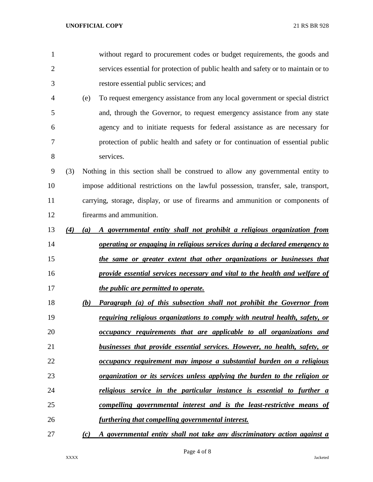| 1              |     |           | without regard to procurement codes or budget requirements, the goods and           |
|----------------|-----|-----------|-------------------------------------------------------------------------------------|
| $\overline{2}$ |     |           | services essential for protection of public health and safety or to maintain or to  |
| 3              |     |           | restore essential public services; and                                              |
| 4              |     | (e)       | To request emergency assistance from any local government or special district       |
| 5              |     |           | and, through the Governor, to request emergency assistance from any state           |
| 6              |     |           | agency and to initiate requests for federal assistance as are necessary for         |
| $\overline{7}$ |     |           | protection of public health and safety or for continuation of essential public      |
| 8              |     | services. |                                                                                     |
| 9              | (3) |           | Nothing in this section shall be construed to allow any governmental entity to      |
| 10             |     |           | impose additional restrictions on the lawful possession, transfer, sale, transport, |
| 11             |     |           | carrying, storage, display, or use of firearms and ammunition or components of      |
| 12             |     |           | firearms and ammunition.                                                            |
| 13             | (4) | (a)       | A governmental entity shall not prohibit a religious organization from              |
| 14             |     |           | operating or engaging in religious services during a declared emergency to          |
| 15             |     |           | the same or greater extent that other organizations or businesses that              |
| 16             |     |           | provide essential services necessary and vital to the health and welfare of         |
| 17             |     |           | the public are permitted to operate.                                                |
| 18             |     | (b)       | <b>Paragraph</b> (a) of this subsection shall not prohibit the Governor from        |
| 19             |     |           | requiring religious organizations to comply with neutral health, safety, or         |
| 20             |     |           | occupancy requirements that are applicable to all organizations and                 |
| 21             |     |           | businesses that provide essential services. However, no health, safety, or          |
| 22             |     |           | occupancy requirement may impose a substantial burden on a religious                |
| 23             |     |           | <u>organization or its services unless applying the burden to the religion or</u>   |
| 24             |     |           | <u>religious service in the particular instance is essential to further a</u>       |
| 25             |     |           | <u>compelling governmental interest and is the least-restrictive means of</u>       |
| 26             |     |           | <u>furthering that compelling governmental interest.</u>                            |
| 27             |     | (c)       | A governmental entity shall not take any discriminatory action against a            |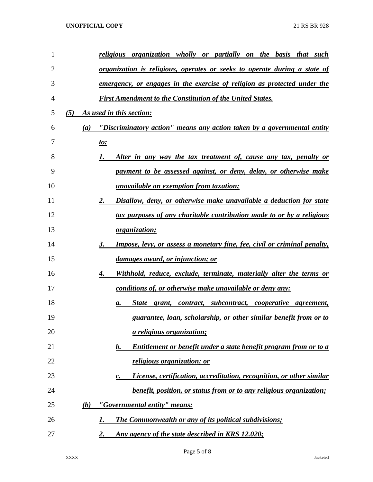| $\mathbf{1}$   |     |     | religious organization wholly or partially on the basis that such                     |
|----------------|-----|-----|---------------------------------------------------------------------------------------|
| $\overline{2}$ |     |     | <u>organization is religious, operates or seeks to operate during a state of</u>      |
| 3              |     |     | <u>emergency, or engages in the exercise of religion as protected under the</u>       |
| 4              |     |     | <b>First Amendment to the Constitution of the United States.</b>                      |
| 5              | (5) |     | As used in this section:                                                              |
| 6              |     | (a) | "Discriminatory action" means any action taken by a governmental entity               |
| 7              |     |     | <u>to:</u>                                                                            |
| 8              |     |     | Alter in any way the tax treatment of, cause any tax, penalty or<br>1.                |
| 9              |     |     | payment to be assessed against, or deny, delay, or otherwise make                     |
| 10             |     |     | <i><u><b>unavailable an exemption from taxation;</b></u></i>                          |
| 11             |     |     | Disallow, deny, or otherwise make unavailable a deduction for state<br>2.             |
| 12             |     |     | tax purposes of any charitable contribution made to or by a religious                 |
| 13             |     |     | <i>organization;</i>                                                                  |
| 14             |     |     | 3.<br><b>Impose, levy, or assess a monetary fine, fee, civil or criminal penalty,</b> |
| 15             |     |     | <u>damages award, or injunction; or</u>                                               |
| 16             |     |     | Withhold, reduce, exclude, terminate, materially alter the terms or<br>4.             |
| 17             |     |     | conditions of, or otherwise make unavailable or deny any:                             |
| 18             |     |     | State grant, contract, subcontract, cooperative agreement,<br>a.                      |
| 19             |     |     | guarantee, loan, scholarship, or other similar benefit from or to                     |
| 20             |     |     | <i><u>a religious organization;</u></i>                                               |
| 21             |     |     | <u>Entitlement or benefit under a state benefit program from or to a</u><br>b.        |
| 22             |     |     | religious organization; or                                                            |
| 23             |     |     | License, certification, accreditation, recognition, or other similar<br>с.            |
| 24             |     |     | <i>benefit, position, or status from or to any religious organization;</i>            |
| 25             |     | (b) | "Governmental entity" means:                                                          |
| 26             |     |     | <b>The Commonwealth or any of its political subdivisions;</b><br>1.                   |
| 27             |     |     | 2.<br>Any agency of the state described in KRS 12.020;                                |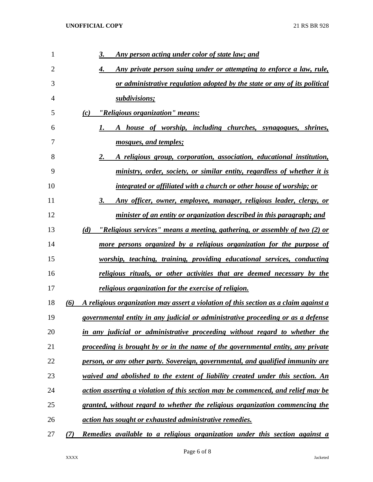| 1              |     | 3.<br><u>Any person acting under color of state law; and</u>                         |
|----------------|-----|--------------------------------------------------------------------------------------|
| $\overline{2}$ |     | Any private person suing under or attempting to enforce a law, rule,<br>4.           |
| 3              |     | or administrative regulation adopted by the state or any of its political            |
| 4              |     | subdivisions;                                                                        |
| 5              |     | "Religious organization" means:<br>(c)                                               |
| 6              |     | A house of worship, including churches, synagogues, shrines,<br>1.                   |
| 7              |     | mosques, and temples;                                                                |
| 8              |     | 2.<br>A religious group, corporation, association, educational institution,          |
| 9              |     | ministry, order, society, or similar entity, regardless of whether it is             |
| 10             |     | integrated or affiliated with a church or other house of worship; or                 |
| 11             |     | Any officer, owner, employee, manager, religious leader, clergy, or<br>3.            |
| 12             |     | minister of an entity or organization described in this paragraph; and               |
| 13             |     | "Religious services" means a meeting, gathering, or assembly of two (2) or<br>(d)    |
| 14             |     | more persons organized by a religious organization for the purpose of                |
| 15             |     | worship, teaching, training, providing educational services, conducting              |
| 16             |     | religious rituals, or other activities that are deemed necessary by the              |
| 17             |     | religious organization for the exercise of religion.                                 |
| 18             | (6) | A religious organization may assert a violation of this section as a claim against a |
| 19             |     | governmental entity in any judicial or administrative proceeding or as a defense     |
| 20             |     | in any judicial or administrative proceeding without regard to whether the           |
| 21             |     | proceeding is brought by or in the name of the governmental entity, any private      |
| 22             |     | person, or any other party. Sovereign, governmental, and qualified immunity are      |
| 23             |     | waived and abolished to the extent of liability created under this section. An       |
| 24             |     | action asserting a violation of this section may be commenced, and relief may be     |
| 25             |     | granted, without regard to whether the religious organization commencing the         |
| 26             |     | <u>action has sought or exhausted administrative remedies.</u>                       |
| 27             | (7) | Remedies available to a religious organization under this section against a          |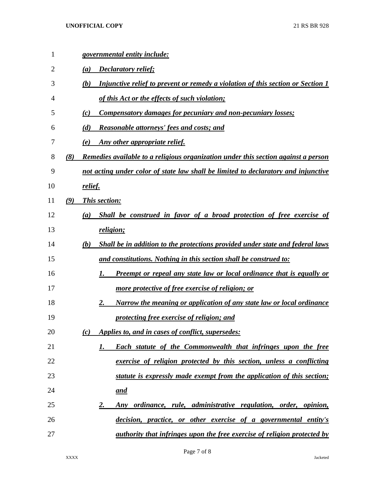| 1  |     | governmental entity include:                                                           |
|----|-----|----------------------------------------------------------------------------------------|
| 2  |     | Declaratory relief;<br>(a)                                                             |
| 3  |     | Injunctive relief to prevent or remedy a violation of this section or Section 1<br>(b) |
| 4  |     | of this Act or the effects of such violation;                                          |
| 5  |     | <b>Compensatory damages for pecuniary and non-pecuniary losses;</b><br>(c)             |
| 6  |     | (d)<br><b>Reasonable attorneys' fees and costs; and</b>                                |
| 7  |     | Any other appropriate relief.<br>(e)                                                   |
| 8  | (8) | Remedies available to a religious organization under this section against a person     |
| 9  |     | not acting under color of state law shall be limited to declaratory and injunctive     |
| 10 |     | relief.                                                                                |
| 11 | (9) | This section:                                                                          |
| 12 |     | Shall be construed in favor of a broad protection of free exercise of<br>(a)           |
| 13 |     | religion;                                                                              |
| 14 |     | Shall be in addition to the protections provided under state and federal laws<br>(b)   |
| 15 |     | and constitutions. Nothing in this section shall be construed to:                      |
| 16 |     | <u>Preempt or repeal any state law or local ordinance that is equally or</u><br>1.     |
| 17 |     | <u>more protective of free exercise of religion; or</u>                                |
| 18 |     | Narrow the meaning or application of any state law or local ordinance<br>2.            |
| 19 |     | protecting free exercise of religion; and                                              |
| 20 |     | Applies to, and in cases of conflict, supersedes:<br>(c)                               |
| 21 |     | <b>Each statute of the Commonwealth that infringes upon the free</b><br>1.             |
| 22 |     | exercise of religion protected by this section, unless a conflicting                   |
| 23 |     | statute is expressly made exempt from the application of this section;                 |
| 24 |     | <u>and</u>                                                                             |
| 25 |     | Any ordinance, rule, administrative regulation, order, opinion,<br>2.                  |
| 26 |     | decision, practice, or other exercise of a governmental entity's                       |
| 27 |     | <u>authority that infringes upon the free exercise of religion protected by</u>        |